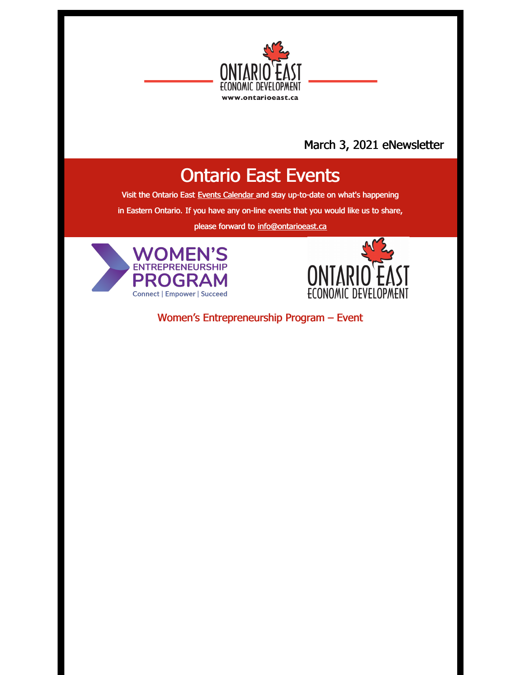

#### March 3, 2021 eNewsletter

## Ontario East Events

Visit the Ontario East Events [Calendar](https://ontarioeast.ca/events) and stay up-to-date on what's happening

in Eastern Ontario. If you have any on-line events that you would like us to share,

please forward to [info@ontarioeast.ca](mailto:info@ontarioeast.ca)





Women's Entrepreneurship Program – Event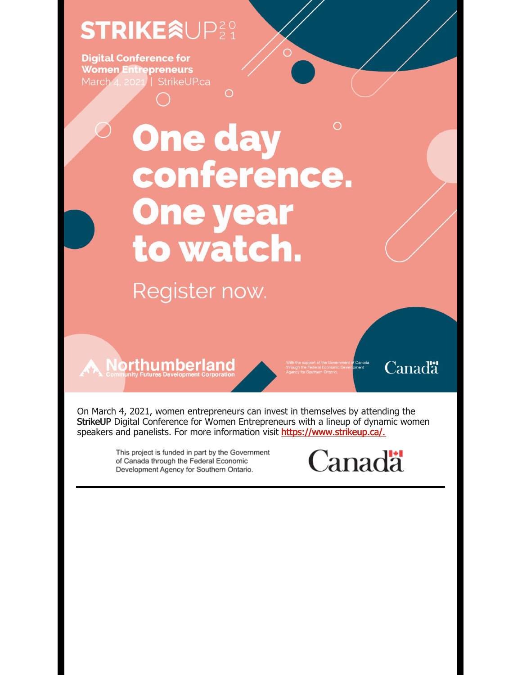## **STRIKEÂUP20**

**Digital Conference for Women Entrepreneurs** March 4, 2021 | StrikeUP.ca

# $\bigcirc$ **One day** conference. **One year** to watch.

 $\bigcirc$ 

Register now.

**A** Northumberland

Canadä<sup>\*</sup>

On March 4, 2021, women entrepreneurs can invest in themselves by attending the StrikeUP Digital Conference for Women Entrepreneurs with a lineup of dynamic women speakers and panelists. For more information visit https://www.strikeup.ca/.

> This project is funded in part by the Government of Canada through the Federal Economic Development Agency for Southern Ontario.

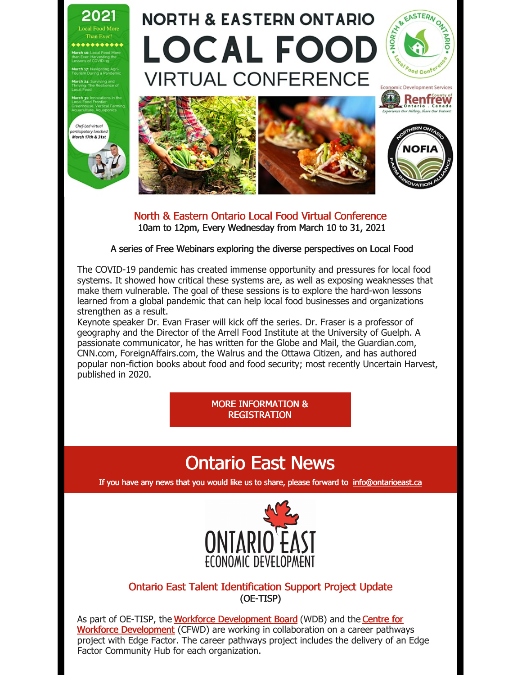

North & Eastern Ontario Local Food Virtual Conference 10am to 12pm, Every Wednesday from March 10 to 31, 2021

A series of Free Webinars exploring the diverse perspectives on Local Food

The COVID-19 pandemic has created immense opportunity and pressures for local food systems. It showed how critical these systems are, as well as exposing weaknesses that make them vulnerable. The goal of these sessions is to explore the hard-won lessons learned from a global pandemic that can help local food businesses and organizations strengthen as a result.

Keynote speaker Dr. Evan Fraser will kick off the series. Dr. Fraser is a professor of geography and the Director of the Arrell Food Institute at the University of Guelph. A passionate communicator, he has written for the Globe and Mail, the Guardian.com, CNN.com, ForeignAffairs.com, the Walrus and the Ottawa Citizen, and has authored popular non-fiction books about food and food security; most recently Uncertain Harvest, published in 2020.

> MORE [INFORMATION](https://ontarioeast.ca/events/north-eastern-ontario-local-food-virtual-conference) & **REGISTRATION**

## Ontario East News

If you have any news that you would like us to share, please forward to [info@ontarioeast.ca](mailto:info@ontarioeast.ca)



#### Ontario East Talent Identification Support Project Update (OE-TISP)

As part of OE-TISP, the Workforce [Development](https://t.sidekickopen45.com/s2t/c/5/f18dQhb0S7kv8c82szVf5rhG59hl3kW7_k2842PyJyGW7wzN4k2Qx-dHW2Swb-n2bzNMtf46JSFc01?te=W3R5hFj26QkG_F3M9qDMmKTh1&si=5457739056414720&pi=b57fbae9-ee33-4486-db96-2ee2128cbc2c) Board (WDB) and the Centre for Workforce Development (CFWD) are working in collaboration on a career pathways project with Edge Factor. The career pathways project includes the delivery of an Edge Factor Community Hub for each organization.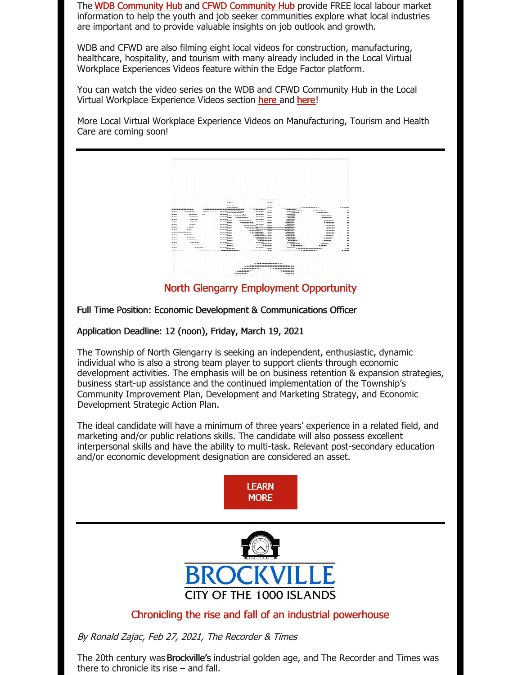The WDB [Community](https://t.sidekickopen45.com/s2t/c/5/f18dQhb0S7kv8c82szVf5rhG59hl3kW7_k2842PyJyGW7wzN4k2Qx-dHW2Swb-n2bzNMtf46JSFc01?te=W3R5hFj4cm2zwW3K2-nS3M0g6sW43W93f43T4NDf2vHMx604&si=5457739056414720&pi=b57fbae9-ee33-4486-db96-2ee2128cbc2c) Hub and CFWD [Community](https://t.sidekickopen45.com/s2t/c/5/f18dQhb0S7kv8c82szVf5rhG59hl3kW7_k2842PyJyGW7wzN4k2Qx-dHW2Swb-n2bzNMtf46JSFc01?te=W3R5hFj4cm2zwW3K2-nS3M0g6sW43W93f43T4Nfn2zPzxB1s3&si=5457739056414720&pi=b57fbae9-ee33-4486-db96-2ee2128cbc2c) Hub provide FREE local labour market information to help the youth and job seeker communities explore what local industries are important and to provide valuable insights on job outlook and growth.

WDB and CFWD are also filming eight local videos for construction, manufacturing, healthcare, hospitality, and tourism with many already included in the Local Virtual Workplace Experiences Videos feature within the Edge Factor platform.

You can watch the video series on the WDB and CFWD Community Hub in the Local Virtual Workplace Experience Videos section [here](https://t.sidekickopen45.com/s2t/c/5/f18dQhb0S7kv8c82szVf5rhG59hl3kW7_k2842PyJyGW7wzN4k2Qx-dHW2Swb-n2bzNMtf46JSFc01?te=W3R5hFj4cm2zwW3K2-nS3M0g6sW43W93f43T4Nfn2zPzxB1s3&si=5457739056414720&pi=b57fbae9-ee33-4486-db96-2ee2128cbc2c) and here!

More Local Virtual Workplace Experience Videos on Manufacturing, Tourism and Health Care are coming soon!



North Glengarry Employment Opportunity

Full Time Position: Economic Development & Communications Officer

Application Deadline: 12 (noon), Friday, March 19, 2021

The Township of North Glengarry is seeking an independent, enthusiastic, dynamic individual who is also a strong team player to support clients through economic development activities. The emphasis will be on business retention & expansion strategies, business start-up assistance and the continued implementation of the Township's Community Improvement Plan, Development and Marketing Strategy, and Economic Development Strategic Action Plan.

The ideal candidate will have a minimum of three years' experience in a related field, and marketing and/or public relations skills. The candidate will also possess excellent interpersonal skills and have the ability to multi-task. Relevant post-secondary education and/or economic development designation are considered an asset.





#### Chronicling the rise and fall of an industrial powerhouse

By Ronald Zajac, Feb 27, 2021, The Recorder & Times

The 20th century was Brockville's industrial golden age, and The Recorder and Times was there to chronicle its rise – and fall.